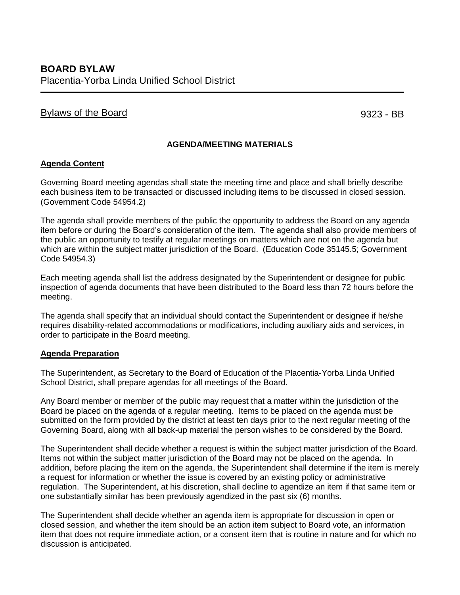# Bylaws of the Board extensive state of the Board extensive state of the Board extensive state of the Board extending of the Board extending of the Board extending of the Board extending of the Board extending of the Board

## **AGENDA/MEETING MATERIALS**

### **Agenda Content**

Governing Board meeting agendas shall state the meeting time and place and shall briefly describe each business item to be transacted or discussed including items to be discussed in closed session. (Government Code 54954.2)

The agenda shall provide members of the public the opportunity to address the Board on any agenda item before or during the Board's consideration of the item. The agenda shall also provide members of the public an opportunity to testify at regular meetings on matters which are not on the agenda but which are within the subject matter jurisdiction of the Board. (Education Code 35145.5; Government Code 54954.3)

Each meeting agenda shall list the address designated by the Superintendent or designee for public inspection of agenda documents that have been distributed to the Board less than 72 hours before the meeting.

The agenda shall specify that an individual should contact the Superintendent or designee if he/she requires disability-related accommodations or modifications, including auxiliary aids and services, in order to participate in the Board meeting.

#### **Agenda Preparation**

The Superintendent, as Secretary to the Board of Education of the Placentia-Yorba Linda Unified School District, shall prepare agendas for all meetings of the Board.

Any Board member or member of the public may request that a matter within the jurisdiction of the Board be placed on the agenda of a regular meeting. Items to be placed on the agenda must be submitted on the form provided by the district at least ten days prior to the next regular meeting of the Governing Board, along with all back-up material the person wishes to be considered by the Board.

The Superintendent shall decide whether a request is within the subject matter jurisdiction of the Board. Items not within the subject matter jurisdiction of the Board may not be placed on the agenda. In addition, before placing the item on the agenda, the Superintendent shall determine if the item is merely a request for information or whether the issue is covered by an existing policy or administrative regulation. The Superintendent, at his discretion, shall decline to agendize an item if that same item or one substantially similar has been previously agendized in the past six (6) months.

The Superintendent shall decide whether an agenda item is appropriate for discussion in open or closed session, and whether the item should be an action item subject to Board vote, an information item that does not require immediate action, or a consent item that is routine in nature and for which no discussion is anticipated.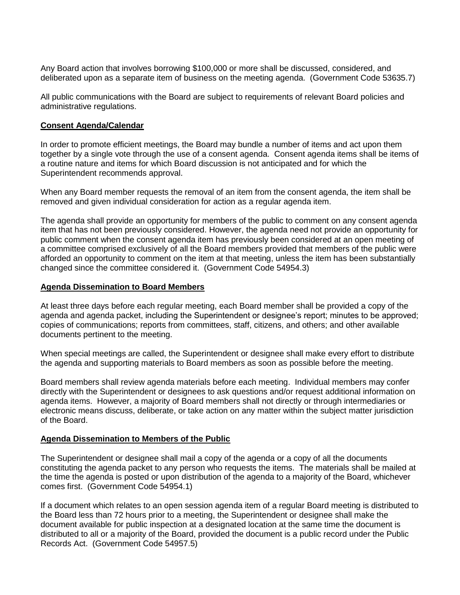Any Board action that involves borrowing \$100,000 or more shall be discussed, considered, and deliberated upon as a separate item of business on the meeting agenda. (Government Code 53635.7)

All public communications with the Board are subject to requirements of relevant Board policies and administrative regulations.

### **Consent Agenda/Calendar**

In order to promote efficient meetings, the Board may bundle a number of items and act upon them together by a single vote through the use of a consent agenda. Consent agenda items shall be items of a routine nature and items for which Board discussion is not anticipated and for which the Superintendent recommends approval.

When any Board member requests the removal of an item from the consent agenda, the item shall be removed and given individual consideration for action as a regular agenda item.

The agenda shall provide an opportunity for members of the public to comment on any consent agenda item that has not been previously considered. However, the agenda need not provide an opportunity for public comment when the consent agenda item has previously been considered at an open meeting of a committee comprised exclusively of all the Board members provided that members of the public were afforded an opportunity to comment on the item at that meeting, unless the item has been substantially changed since the committee considered it. (Government Code 54954.3)

### **Agenda Dissemination to Board Members**

At least three days before each regular meeting, each Board member shall be provided a copy of the agenda and agenda packet, including the Superintendent or designee's report; minutes to be approved; copies of communications; reports from committees, staff, citizens, and others; and other available documents pertinent to the meeting.

When special meetings are called, the Superintendent or designee shall make every effort to distribute the agenda and supporting materials to Board members as soon as possible before the meeting.

Board members shall review agenda materials before each meeting. Individual members may confer directly with the Superintendent or designees to ask questions and/or request additional information on agenda items. However, a majority of Board members shall not directly or through intermediaries or electronic means discuss, deliberate, or take action on any matter within the subject matter jurisdiction of the Board.

#### **Agenda Dissemination to Members of the Public**

The Superintendent or designee shall mail a copy of the agenda or a copy of all the documents constituting the agenda packet to any person who requests the items. The materials shall be mailed at the time the agenda is posted or upon distribution of the agenda to a majority of the Board, whichever comes first. (Government Code 54954.1)

If a document which relates to an open session agenda item of a regular Board meeting is distributed to the Board less than 72 hours prior to a meeting, the Superintendent or designee shall make the document available for public inspection at a designated location at the same time the document is distributed to all or a majority of the Board, provided the document is a public record under the Public Records Act. (Government Code 54957.5)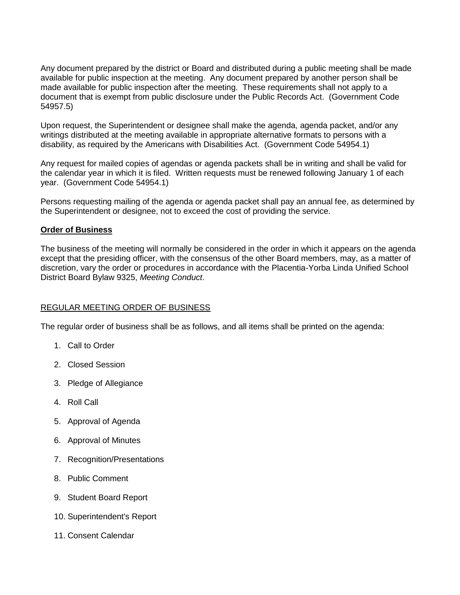Any document prepared by the district or Board and distributed during a public meeting shall be made available for public inspection at the meeting. Any document prepared by another person shall be made available for public inspection after the meeting. These requirements shall not apply to a document that is exempt from public disclosure under the Public Records Act. (Government Code 54957.5)

Upon request, the Superintendent or designee shall make the agenda, agenda packet, and/or any writings distributed at the meeting available in appropriate alternative formats to persons with a disability, as required by the Americans with Disabilities Act. (Government Code 54954.1)

Any request for mailed copies of agendas or agenda packets shall be in writing and shall be valid for the calendar year in which it is filed. Written requests must be renewed following January 1 of each year. (Government Code 54954.1)

Persons requesting mailing of the agenda or agenda packet shall pay an annual fee, as determined by the Superintendent or designee, not to exceed the cost of providing the service.

### **Order of Business**

The business of the meeting will normally be considered in the order in which it appears on the agenda except that the presiding officer, with the consensus of the other Board members, may, as a matter of discretion, vary the order or procedures in accordance with the Placentia-Yorba Linda Unified School District Board Bylaw 9325, *Meeting Conduct*.

## REGULAR MEETING ORDER OF BUSINESS

The regular order of business shall be as follows, and all items shall be printed on the agenda:

- 1. Call to Order
- 2. Closed Session
- 3. Pledge of Allegiance
- 4. Roll Call
- 5. Approval of Agenda
- 6. Approval of Minutes
- 7. Recognition/Presentations
- 8. Public Comment
- 9. Student Board Report
- 10. Superintendent's Report
- 11. Consent Calendar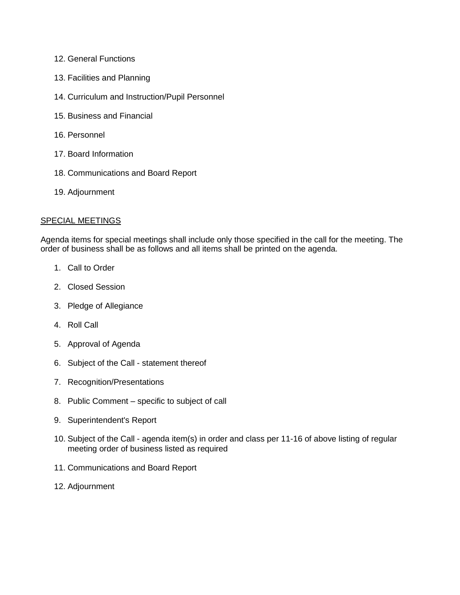- 12. General Functions
- 13. Facilities and Planning
- 14. Curriculum and Instruction/Pupil Personnel
- 15. Business and Financial
- 16. Personnel
- 17. Board Information
- 18. Communications and Board Report
- 19. Adjournment

### SPECIAL MEETINGS

Agenda items for special meetings shall include only those specified in the call for the meeting. The order of business shall be as follows and all items shall be printed on the agenda.

- 1. Call to Order
- 2. Closed Session
- 3. Pledge of Allegiance
- 4. Roll Call
- 5. Approval of Agenda
- 6. Subject of the Call statement thereof
- 7. Recognition/Presentations
- 8. Public Comment specific to subject of call
- 9. Superintendent's Report
- 10. Subject of the Call agenda item(s) in order and class per 11-16 of above listing of regular meeting order of business listed as required
- 11. Communications and Board Report
- 12. Adjournment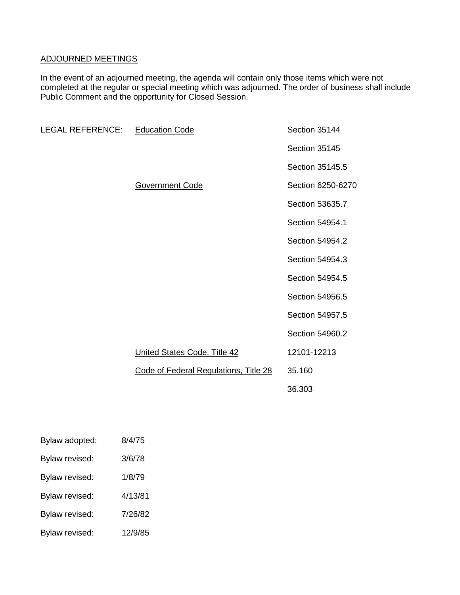# ADJOURNED MEETINGS

In the event of an adjourned meeting, the agenda will contain only those items which were not completed at the regular or special meeting which was adjourned. The order of business shall include Public Comment and the opportunity for Closed Session.

| <b>LEGAL REFERENCE:</b> | <b>Education Code</b>                 | Section 35144     |
|-------------------------|---------------------------------------|-------------------|
|                         |                                       | Section 35145     |
|                         |                                       | Section 35145.5   |
|                         | Government Code                       | Section 6250-6270 |
|                         |                                       | Section 53635.7   |
|                         |                                       | Section 54954.1   |
|                         |                                       | Section 54954.2   |
|                         |                                       | Section 54954.3   |
|                         |                                       | Section 54954.5   |
|                         |                                       | Section 54956.5   |
|                         |                                       | Section 54957.5   |
|                         |                                       | Section 54960.2   |
|                         | United States Code, Title 42          | 12101-12213       |
|                         | Code of Federal Regulations, Title 28 | 35.160            |
|                         |                                       | 36.303            |

| Bylaw adopted:        | 8/4/75  |
|-----------------------|---------|
| Bylaw revised:        | 3/6/78  |
| <b>Bylaw revised:</b> | 1/8/79  |
| <b>Bylaw revised:</b> | 4/13/81 |
| <b>Bylaw revised:</b> | 7/26/82 |
| Bylaw revised:        | 12/9/85 |